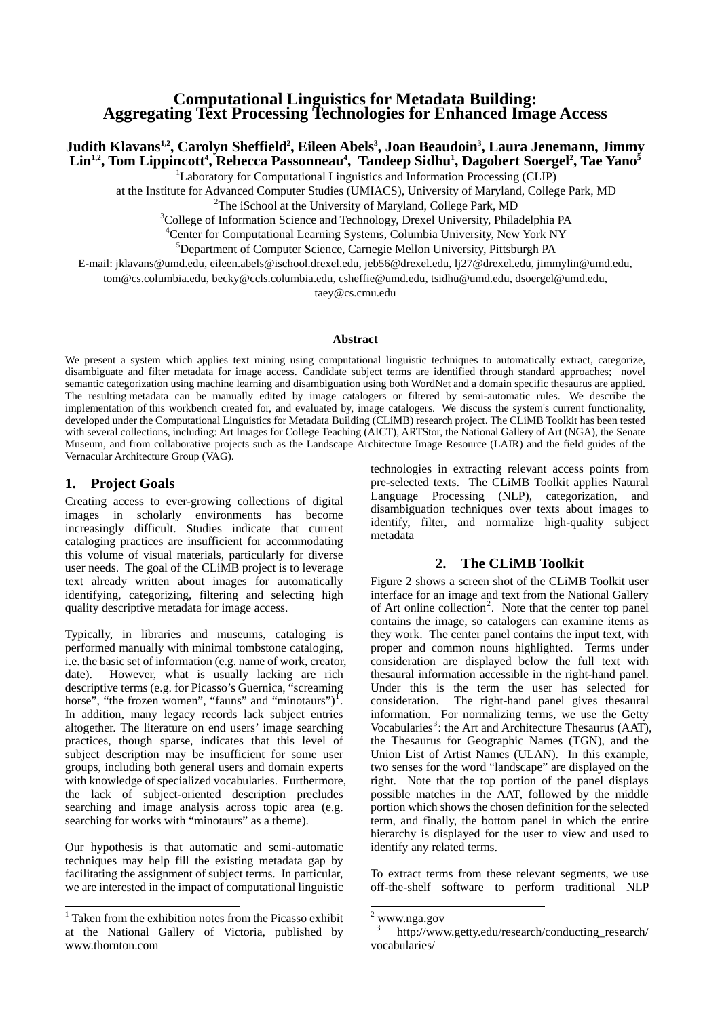# **Computational Linguistics for Metadata Building: Aggregating Text Processing Technologies for Enhanced Image Access**

## **Judith Klavans1,2, Carolyn Sheffield2 , Eileen Abels3 , Joan Beaudoin3 , Laura Jenemann, Jimmy Lin<sup>1,2</sup>, Tom Lippincott<sup>4</sup>, Rebecca Passonneau<sup>4</sup>, Tandeep Sidhu<sup>1</sup>, Dagobert Soergel<sup>2</sup>, Tae Yano<sup>5</sup>**

<sup>1</sup>Laboratory for Computational Linguistics and Information Processing (CLIP)

at the Institute for Advanced Computer Studies (UMIACS), University of Maryland, College Park, MD 2

<sup>2</sup>The iSchool at the University of Maryland, College Park, MD

<sup>3</sup>College of Information Science and Technology, Drexel University, Philadelphia PA

<sup>4</sup> Center for Computational Learning Systems, Columbia University, New York NY

5 Department of Computer Science, Carnegie Mellon University, Pittsburgh PA

E-mail: jklavans@umd.edu, eileen.abels@ischool.drexel.edu, jeb56@drexel.edu, lj27@drexel.edu, jimmylin@umd.edu,

tom@cs.columbia.edu, becky@ccls.columbia.edu, csheffie@umd.edu, tsidhu@umd.edu, dsoergel@umd.edu,

taey@cs.cmu.edu

#### **Abstract**

We present a system which applies text mining using computational linguistic techniques to automatically extract, categorize, disambiguate and filter metadata for image access. Candidate subject terms are identified through standard approaches; novel semantic categorization using machine learning and disambiguation using both WordNet and a domain specific thesaurus are applied. The resulting metadata can be manually edited by image catalogers or filtered by semi-automatic rules. We describe the implementation of this workbench created for, and evaluated by, image catalogers. We discuss the system's current functionality, developed under the Computational Linguistics for Metadata Building (CLiMB) research project. The CLiMB Toolkit has been tested with several collections, including: Art Images for College Teaching (AICT), ARTStor, the National Gallery of Art (NGA), the Senate Museum, and from collaborative projects such as the Landscape Architecture Image Resource (LAIR) and the field guides of the Vernacular Architecture Group (VAG).

#### **1. Project Goals**

Creating access to ever-growing collections of digital images in scholarly environments has become increasingly difficult. Studies indicate that current cataloging practices are insufficient for accommodating this volume of visual materials, particularly for diverse user needs. The goal of the CLiMB project is to leverage text already written about images for automatically identifying, categorizing, filtering and selecting high quality descriptive metadata for image access.

Typically, in libraries and museums, cataloging is performed manually with minimal tombstone cataloging, i.e. the basic set of information (e.g. name of work, creator, date). However, what is usually lacking are rich descriptive terms (e.g. for Picasso's Guernica, "screaming horse", "the frozen women", "fauns" and "minotaurs")<sup> $\Gamma$ </sup>. In addition, many legacy records lack subject entries altogether. The literature on end users' image searching practices, though sparse, indicates that this level of subject description may be insufficient for some user groups, including both general users and domain experts with knowledge of specialized vocabularies. Furthermore, the lack of subject-oriented description precludes searching and image analysis across topic area (e.g. searching for works with "minotaurs" as a theme).

Our hypothesis is that automatic and semi-automatic techniques may help fill the existing metadata gap by facilitating the assignment of subject terms. In particular, we are interested in the impact of computational linguistic technologies in extracting relevant access points from pre-selected texts. The CLiMB Toolkit applies Natural Language Processing (NLP), categorization, and disambiguation techniques over texts about images to identify, filter, and normalize high-quality subject metadata

#### **2. The CLiMB Toolkit**

Figure 2 shows a screen shot of the CLiMB Toolkit user interface for an image and text from the National Gallery of Art online collection<sup>[2](#page-0-0)</sup>. Note that the center top panel contains the image, so catalogers can examine items as they work. The center panel contains the input text, with proper and common nouns highlighted. Terms under consideration are displayed below the full text with thesaural information accessible in the right-hand panel. Under this is the term the user has selected for consideration. The right-hand panel gives thesaural information. For normalizing terms, we use the Getty Vocabularies<sup>[3](#page-0-1)</sup>: the Art and Architecture Thesaurus (AAT), the Thesaurus for Geographic Names (TGN), and the Union List of Artist Names (ULAN). In this example, two senses for the word "landscape" are displayed on the right. Note that the top portion of the panel displays possible matches in the AAT, followed by the middle portion which shows the chosen definition for the selected term, and finally, the bottom panel in which the entire hierarchy is displayed for the user to view and used to identify any related terms.

To extract terms from these relevant segments, we use off-the-shelf software to perform traditional NLP

<span id="page-0-1"></span><span id="page-0-0"></span> <sup>1</sup> Taken from the exhibition notes from the Picasso exhibit at the National Gallery of Victoria, published by www.thornton.com

<sup>2</sup> www.nga.gov

<sup>3</sup> http://www.getty.edu/research/conducting\_research/ vocabularies/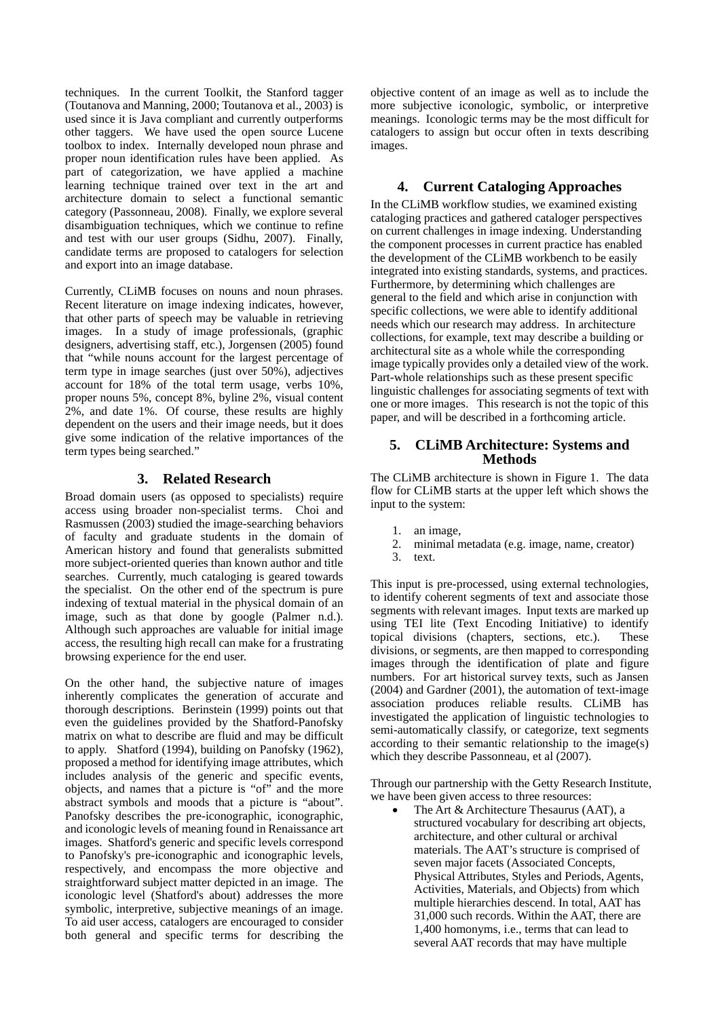techniques. In the current Toolkit, the Stanford tagger (Toutanova and Manning, 2000; Toutanova et al., 2003) is used since it is Java compliant and currently outperforms other taggers. We have used the open source Lucene toolbox to index. Internally developed noun phrase and proper noun identification rules have been applied. As part of categorization, we have applied a machine learning technique trained over text in the art and architecture domain to select a functional semantic category (Passonneau, 2008). Finally, we explore several disambiguation techniques, which we continue to refine and test with our user groups (Sidhu, 2007). Finally, candidate terms are proposed to catalogers for selection and export into an image database.

Currently, CLiMB focuses on nouns and noun phrases. Recent literature on image indexing indicates, however, that other parts of speech may be valuable in retrieving images. In a study of image professionals, (graphic designers, advertising staff, etc.), Jorgensen (2005) found that "while nouns account for the largest percentage of term type in image searches (just over 50%), adjectives account for 18% of the total term usage, verbs 10%, proper nouns 5%, concept 8%, byline 2%, visual content 2%, and date 1%. Of course, these results are highly dependent on the users and their image needs, but it does give some indication of the relative importances of the term types being searched."

#### **3. Related Research**

Broad domain users (as opposed to specialists) require access using broader non-specialist terms. Choi and Rasmussen (2003) studied the image-searching behaviors of faculty and graduate students in the domain of American history and found that generalists submitted more subject-oriented queries than known author and title searches. Currently, much cataloging is geared towards the specialist. On the other end of the spectrum is pure indexing of textual material in the physical domain of an image, such as that done by google (Palmer n.d.). Although such approaches are valuable for initial image access, the resulting high recall can make for a frustrating browsing experience for the end user.

On the other hand, the subjective nature of images inherently complicates the generation of accurate and thorough descriptions. Berinstein (1999) points out that even the guidelines provided by the Shatford-Panofsky matrix on what to describe are fluid and may be difficult to apply. Shatford (1994), building on Panofsky (1962), proposed a method for identifying image attributes, which includes analysis of the generic and specific events, objects, and names that a picture is "of" and the more abstract symbols and moods that a picture is "about". Panofsky describes the pre-iconographic, iconographic, and iconologic levels of meaning found in Renaissance art images. Shatford's generic and specific levels correspond to Panofsky's pre-iconographic and iconographic levels, respectively, and encompass the more objective and straightforward subject matter depicted in an image. The iconologic level (Shatford's about) addresses the more symbolic, interpretive, subjective meanings of an image. To aid user access, catalogers are encouraged to consider both general and specific terms for describing the objective content of an image as well as to include the more subjective iconologic, symbolic, or interpretive meanings. Iconologic terms may be the most difficult for catalogers to assign but occur often in texts describing images.

#### **4. Current Cataloging Approaches**

In the CLiMB workflow studies, we examined existing cataloging practices and gathered cataloger perspectives on current challenges in image indexing. Understanding the component processes in current practice has enabled the development of the CLiMB workbench to be easily integrated into existing standards, systems, and practices. Furthermore, by determining which challenges are general to the field and which arise in conjunction with specific collections, we were able to identify additional needs which our research may address. In architecture collections, for example, text may describe a building or architectural site as a whole while the corresponding image typically provides only a detailed view of the work. Part-whole relationships such as these present specific linguistic challenges for associating segments of text with one or more images. This research is not the topic of this paper, and will be described in a forthcoming article.

#### **5. CLiMB Architecture: Systems and Methods**

The CLiMB architecture is shown in Figure 1. The data flow for CLiMB starts at the upper left which shows the input to the system:

- 1. an image,
- 2. minimal metadata (e.g. image, name, creator)
- 3. text.

This input is pre-processed, using external technologies, to identify coherent segments of text and associate those segments with relevant images. Input texts are marked up using TEI lite (Text Encoding Initiative) to identify topical divisions (chapters, sections, etc.). These divisions, or segments, are then mapped to corresponding images through the identification of plate and figure numbers. For art historical survey texts, such as Jansen (2004) and Gardner (2001), the automation of text-image association produces reliable results. CLiMB has investigated the application of linguistic technologies to semi-automatically classify, or categorize, text segments according to their semantic relationship to the image(s) which they describe Passonneau, et al (2007).

Through our partnership with the Getty Research Institute, we have been given access to three resources:

• The Art & Architecture Thesaurus (AAT), a structured vocabulary for describing art objects, architecture, and other cultural or archival materials. The AAT's structure is comprised of seven major facets (Associated Concepts, Physical Attributes, Styles and Periods, Agents, Activities, Materials, and Objects) from which multiple hierarchies descend. In total, AAT has 31,000 such records. Within the AAT, there are 1,400 homonyms, i.e., terms that can lead to several AAT records that may have multiple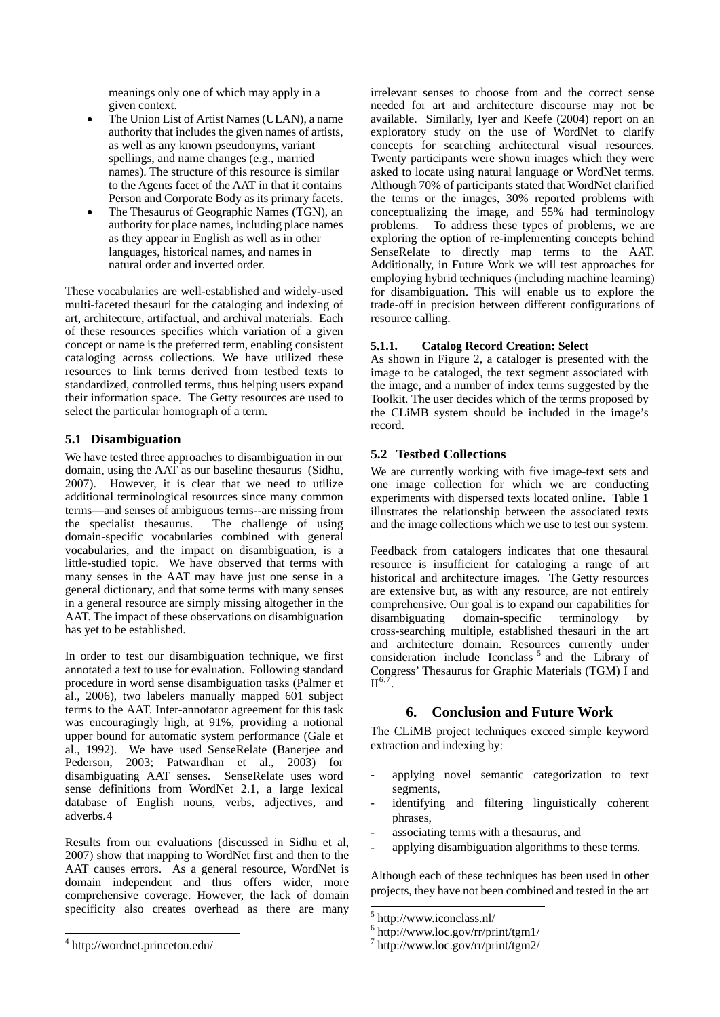meanings only one of which may apply in a given context.

- The Union List of Artist Names (ULAN), a name authority that includes the given names of artists, as well as any known pseudonyms, variant spellings, and name changes (e.g., married names). The structure of this resource is similar to the Agents facet of the AAT in that it contains Person and Corporate Body as its primary facets.
- The Thesaurus of Geographic Names (TGN), an authority for place names, including place names as they appear in English as well as in other languages, historical names, and names in natural order and inverted order.

These vocabularies are well-established and widely-used multi-faceted thesauri for the cataloging and indexing of art, architecture, artifactual, and archival materials. Each of these resources specifies which variation of a given concept or name is the preferred term, enabling consistent cataloging across collections. We have utilized these resources to link terms derived from testbed texts to standardized, controlled terms, thus helping users expand their information space. The Getty resources are used to select the particular homograph of a term.

### **5.1 Disambiguation**

We have tested three approaches to disambiguation in our domain, using the AAT as our baseline thesaurus (Sidhu, 2007). However, it is clear that we need to utilize additional terminological resources since many common terms—and senses of ambiguous terms--are missing from the specialist thesaurus. The challenge of using domain-specific vocabularies combined with general vocabularies, and the impact on disambiguation, is a little-studied topic. We have observed that terms with many senses in the AAT may have just one sense in a general dictionary, and that some terms with many senses in a general resource are simply missing altogether in the AAT. The impact of these observations on disambiguation has yet to be established.

In order to test our disambiguation technique, we first annotated a text to use for evaluation. Following standard procedure in word sense disambiguation tasks (Palmer et al., 2006), two labelers manually mapped 601 subject terms to the AAT. Inter-annotator agreement for this task was encouragingly high, at 91%, providing a notional upper bound for automatic system performance (Gale et al., 1992). We have used SenseRelate (Banerjee and Pederson, 2003; Patwardhan et al., 2003) for disambiguating AAT senses. SenseRelate uses word sense definitions from WordNet 2.1, a large lexical database of English nouns, verbs, adjectives, and adverbs.[4](#page-2-0)

Results from our evaluations (discussed in Sidhu et al, 2007) show that mapping to WordNet first and then to the AAT causes errors. As a general resource, WordNet is domain independent and thus offers wider, more comprehensive coverage. However, the lack of domain specificity also creates overhead as there are many

<span id="page-2-2"></span><span id="page-2-1"></span>l

irrelevant senses to choose from and the correct sense needed for art and architecture discourse may not be available. Similarly, Iyer and Keefe (2004) report on an exploratory study on the use of WordNet to clarify concepts for searching architectural visual resources. Twenty participants were shown images which they were asked to locate using natural language or WordNet terms. Although 70% of participants stated that WordNet clarified the terms or the images, 30% reported problems with conceptualizing the image, and 55% had terminology<br>problems. To address these types of problems, we are To address these types of problems, we are exploring the option of re-implementing concepts behind SenseRelate to directly map terms to the AAT. Additionally, in Future Work we will test approaches for employing hybrid techniques (including machine learning) for disambiguation. This will enable us to explore the trade-off in precision between different configurations of resource calling.

#### **5.1.1. Catalog Record Creation: Select**

As shown in Figure 2, a cataloger is presented with the image to be cataloged, the text segment associated with the image, and a number of index terms suggested by the Toolkit. The user decides which of the terms proposed by the CLiMB system should be included in the image's record.

### **5.2 Testbed Collections**

We are currently working with five image-text sets and one image collection for which we are conducting experiments with dispersed texts located online. Table 1 illustrates the relationship between the associated texts and the image collections which we use to test our system.

Feedback from catalogers indicates that one thesaural resource is insufficient for cataloging a range of art historical and architecture images. The Getty resources are extensive but, as with any resource, are not entirely comprehensive. Our goal is to expand our capabilities for disambiguating domain-specific terminology by cross-searching multiple, established thesauri in the art and architecture domain. Resources currently under consideration include Iconclass<sup>[5](#page-2-1)</sup> and the Library of Congress' Thesaurus for Graphic Materials (TGM) I and  $II^{6,7}$  $II^{6,7}$  $II^{6,7}$  $II^{6,7}$  $II^{6,7}$ .

### **6. Conclusion and Future Work**

The CLiMB project techniques exceed simple keyword extraction and indexing by:

- applying novel semantic categorization to text segments,
- identifying and filtering linguistically coherent phrases,
- associating terms with a thesaurus, and
- applying disambiguation algorithms to these terms.

Although each of these techniques has been used in other projects, they have not been combined and tested in the art

-

<span id="page-2-0"></span><sup>4</sup> http://wordnet.princeton.edu/

<sup>5</sup> http://www.iconclass.nl/

<sup>6</sup> http://www.loc.gov/rr/print/tgm1/

<sup>7</sup> http://www.loc.gov/rr/print/tgm2/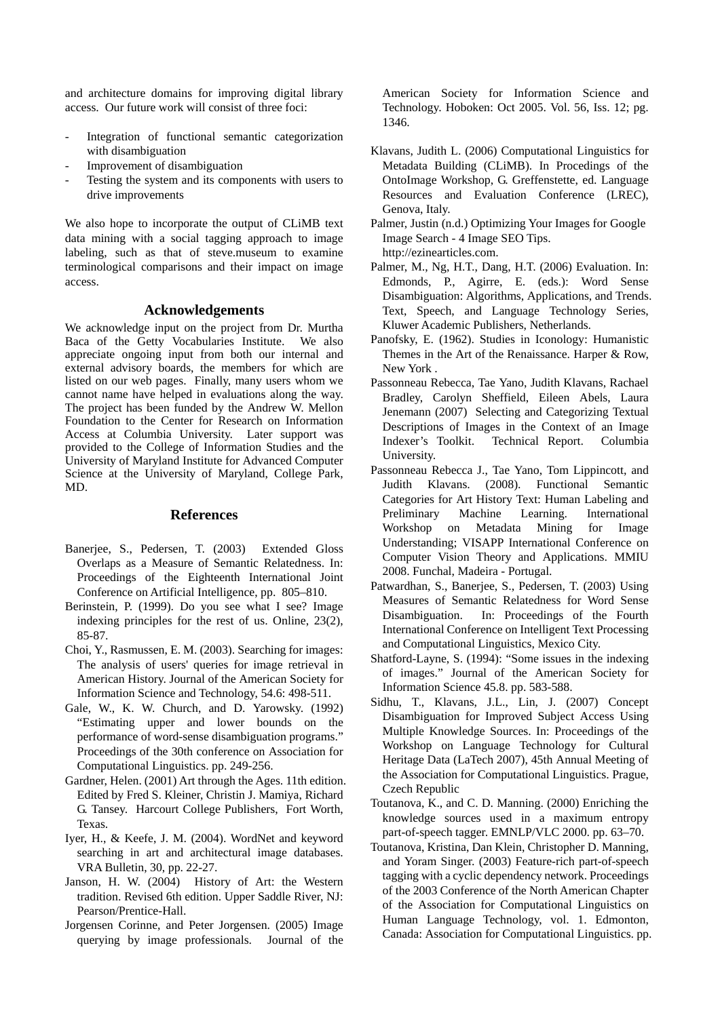and architecture domains for improving digital library access. Our future work will consist of three foci:

- Integration of functional semantic categorization with disambiguation
- Improvement of disambiguation
- Testing the system and its components with users to drive improvements

We also hope to incorporate the output of CLiMB text data mining with a social tagging approach to image labeling, such as that of steve.museum to examine terminological comparisons and their impact on image access.

#### **Acknowledgements**

We acknowledge input on the project from Dr. Murtha Baca of the Getty Vocabularies Institute. We also appreciate ongoing input from both our internal and external advisory boards, the members for which are listed on our web pages. Finally, many users whom we cannot name have helped in evaluations along the way. The project has been funded by the Andrew W. Mellon Foundation to the Center for Research on Information Access at Columbia University. Later support was provided to the College of Information Studies and the University of Maryland Institute for Advanced Computer Science at the University of Maryland, College Park, MD.

#### **References**

- Banerjee, S., Pedersen, T. (2003) Extended Gloss Overlaps as a Measure of Semantic Relatedness. In: Proceedings of the Eighteenth International Joint Conference on Artificial Intelligence, pp. 805–810.
- Berinstein, P. (1999). Do you see what I see? Image indexing principles for the rest of us. Online, 23(2), 85-87.
- Choi, Y., Rasmussen, E. M. (2003). Searching for images: The analysis of users' queries for image retrieval in American History. Journal of the American Society for Information Science and Technology, 54.6: 498-511.
- Gale, W., K. W. Church, and D. Yarowsky. (1992) "Estimating upper and lower bounds on the performance of word-sense disambiguation programs." Proceedings of the 30th conference on Association for Computational Linguistics. pp. 249-256.
- Gardner, Helen. (2001) Art through the Ages. 11th edition. Edited by Fred S. Kleiner, Christin J. Mamiya, Richard G. Tansey. Harcourt College Publishers, Fort Worth, Texas.
- Iyer, H., & Keefe, J. M. (2004). WordNet and keyword searching in art and architectural image databases. VRA Bulletin, 30, pp. 22-27.
- Janson, H. W. (2004) History of Art: the Western tradition. Revised 6th edition. Upper Saddle River, NJ: Pearson/Prentice-Hall.
- Jorgensen Corinne, and Peter Jorgensen. (2005) Image querying by image professionals. Journal of the

American Society for Information Science and Technology. Hoboken: Oct 2005. Vol. 56, Iss. 12; pg. 1346.

- Klavans, Judith L. (2006) Computational Linguistics for Metadata Building (CLiMB). In Procedings of the OntoImage Workshop, G. Greffenstette, ed. Language Resources and Evaluation Conference (LREC), Genova, Italy.
- Palmer, Justin (n.d.) Optimizing Your Images for Google Image Search - 4 Image SEO Tips. [http://ezinearticles.com.](http://ezinearticles.com/)
- Palmer, M., Ng, H.T., Dang, H.T. (2006) Evaluation. In: Edmonds, P., Agirre, E. (eds.): Word Sense Disambiguation: Algorithms, Applications, and Trends. Text, Speech, and Language Technology Series, Kluwer Academic Publishers, Netherlands.
- Panofsky, E. (1962). Studies in Iconology: Humanistic Themes in the Art of the Renaissance. Harper & Row, New York .
- Passonneau Rebecca, Tae Yano, Judith Klavans, Rachael Bradley, Carolyn Sheffield, Eileen Abels, Laura Jenemann (2007) Selecting and Categorizing Textual Descriptions of Images in the Context of an Image Indexer's Toolkit. Technical Report. Columbia University.
- Passonneau Rebecca J., Tae Yano, Tom Lippincott, and Judith Klavans. (2008). Functional Semantic Categories for Art History Text: Human Labeling and Preliminary Machine Learning. International Workshop on Metadata Mining for Image Understanding; VISAPP International Conference on Computer Vision Theory and Applications. MMIU 2008. Funchal, Madeira - Portugal.
- Patwardhan, S., Banerjee, S., Pedersen, T. (2003) Using Measures of Semantic Relatedness for Word Sense Disambiguation. In: Proceedings of the Fourth International Conference on Intelligent Text Processing and Computational Linguistics, Mexico City.
- Shatford-Layne, S. (1994): "Some issues in the indexing of images." Journal of the American Society for Information Science 45.8. pp. 583-588.
- Sidhu, T., Klavans, J.L., Lin, J. (2007) Concept Disambiguation for Improved Subject Access Using Multiple Knowledge Sources. In: Proceedings of the Workshop on Language Technology for Cultural Heritage Data (LaTech 2007), 45th Annual Meeting of the Association for Computational Linguistics. Prague, Czech Republic
- Toutanova, K., and C. D. Manning. (2000) Enriching the knowledge sources used in a maximum entropy part-of-speech tagger. EMNLP/VLC 2000. pp. 63–70.
- Toutanova, Kristina, Dan Klein, Christopher D. Manning, and Yoram Singer. (2003) Feature-rich part-of-speech tagging with a cyclic dependency network. Proceedings of the 2003 Conference of the North American Chapter of the Association for Computational Linguistics on Human Language Technology, vol. 1. Edmonton, Canada: Association for Computational Linguistics. pp.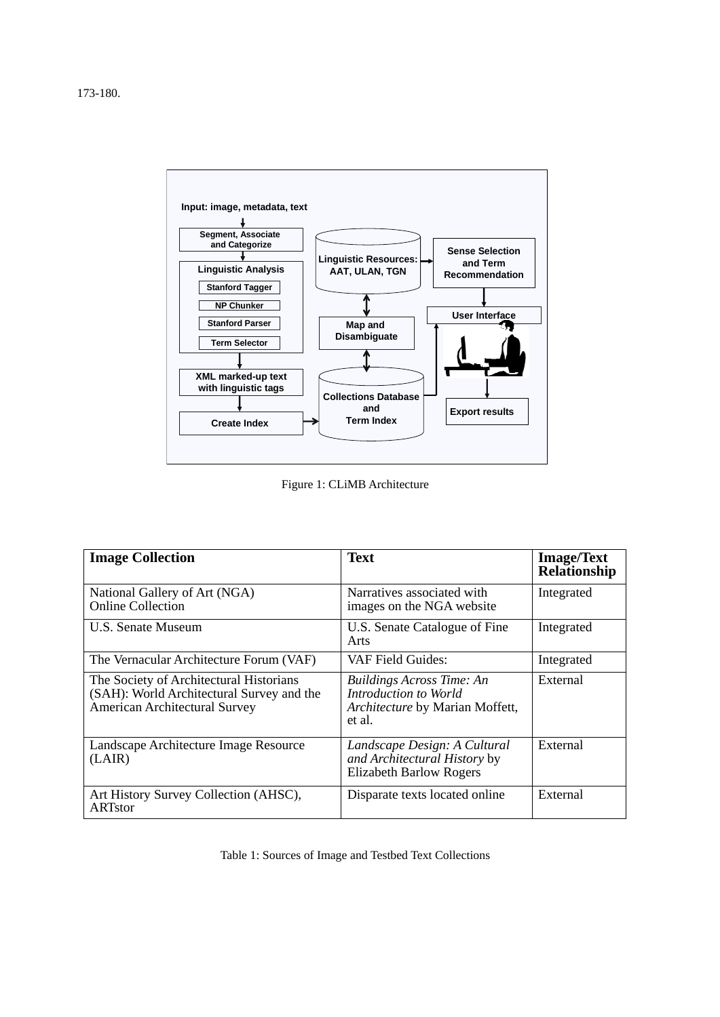

Figure 1: CLiMB Architecture

| <b>Image Collection</b>                                                                                                      | <b>Text</b>                                                                                            | <b>Image/Text</b><br>Relationship |
|------------------------------------------------------------------------------------------------------------------------------|--------------------------------------------------------------------------------------------------------|-----------------------------------|
| National Gallery of Art (NGA)<br>Online Collection                                                                           | Narratives associated with<br>images on the NGA website                                                | Integrated                        |
| U.S. Senate Museum                                                                                                           | U.S. Senate Catalogue of Fine<br>Arts                                                                  | Integrated                        |
| The Vernacular Architecture Forum (VAF)                                                                                      | VAF Field Guides:                                                                                      | Integrated                        |
| The Society of Architectural Historians<br>(SAH): World Architectural Survey and the<br><b>American Architectural Survey</b> | <b>Buildings Across Time: An</b><br>Introduction to World<br>Architecture by Marian Moffett,<br>et al. | External                          |
| Landscape Architecture Image Resource<br>(LAIR)                                                                              | Landscape Design: A Cultural<br>and Architectural History by<br><b>Elizabeth Barlow Rogers</b>         | External                          |
| Art History Survey Collection (AHSC),<br>ARTstor                                                                             | Disparate texts located online                                                                         | External                          |

Table 1: Sources of Image and Testbed Text Collections